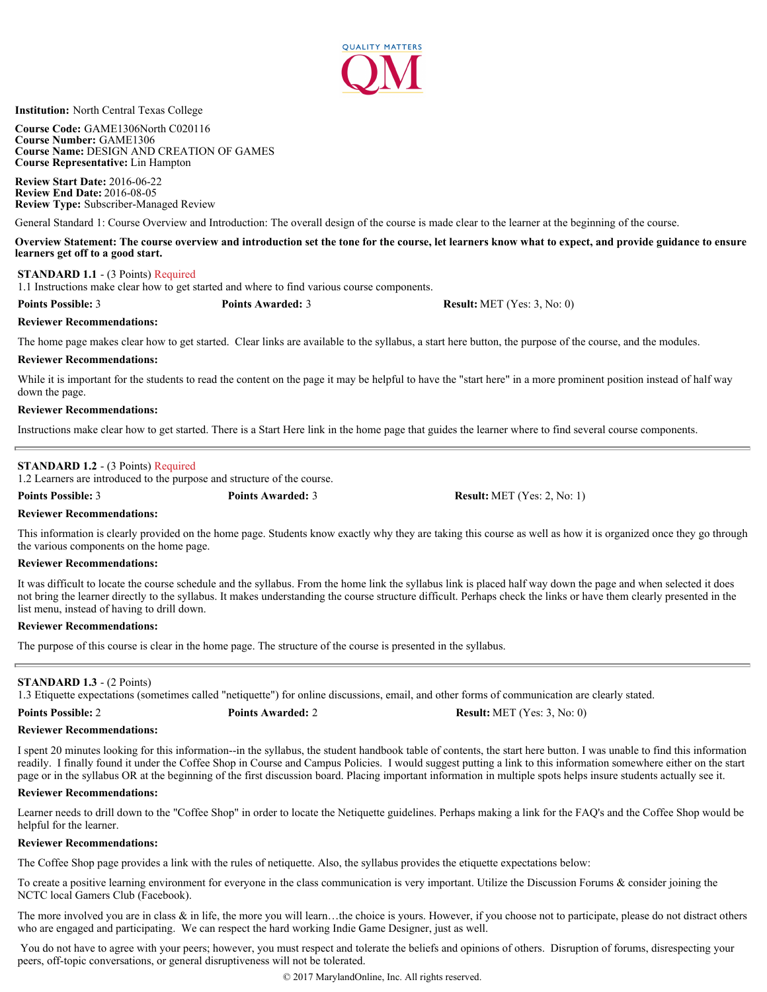

**Institution:** North Central Texas College

**Course Code:** GAME1306North C020116 **Course Number:** GAME1306 **Course Name:** DESIGN AND CREATION OF GAMES **Course Representative:** Lin Hampton

**Review Start Date:** 2016-06-22 **Review End Date:** 2016-08-05 **Review Type:** Subscriber-Managed Review

General Standard 1: Course Overview and Introduction: The overall design of the course is made clear to the learner at the beginning of the course.

**Overview Statement: The course overview and introduction set the tone for the course, let learners know what to expect, and provide guidance to ensure learners get off to a good start.**

# **STANDARD 1.1** - (3 Points) Required

1.1 Instructions make clear how to get started and where to find various course components.

**Points Possible:** 3 **Points Awarded:** 3 **Result:** MET (Yes: 3, No: 0)

# **Reviewer Recommendations:**

The home page makes clear how to get started. Clear links are available to the syllabus, a start here button, the purpose of the course, and the modules.

# **Reviewer Recommendations:**

While it is important for the students to read the content on the page it may be helpful to have the "start here" in a more prominent position instead of half way down the page.

### **Reviewer Recommendations:**

Instructions make clear how to get started. There is a Start Here link in the home page that guides the learner where to find several course components.

# **STANDARD 1.2** - (3 Points) Required

1.2 Learners are introduced to the purpose and structure of the course.

**Points Possible:** 3 **Points Awarded:** 3 **Result:** MET (Yes: 2, No: 1)

#### **Reviewer Recommendations:**

This information is clearly provided on the home page. Students know exactly why they are taking this course as well as how it is organized once they go through the various components on the home page.

# **Reviewer Recommendations:**

It was difficult to locate the course schedule and the syllabus. From the home link the syllabus link is placed half way down the page and when selected it does not bring the learner directly to the syllabus. It makes understanding the course structure difficult. Perhaps check the links or have them clearly presented in the list menu, instead of having to drill down.

# **Reviewer Recommendations:**

The purpose of this course is clear in the home page. The structure of the course is presented in the syllabus.

# **STANDARD 1.3** - (2 Points)

1.3 Etiquette expectations (sometimes called "netiquette") for online discussions, email, and other forms of communication are clearly stated.

**Reviewer Recommendations:**

I spent 20 minutes looking for this information--in the syllabus, the student handbook table of contents, the start here button. I was unable to find this information readily. I finally found it under the Coffee Shop in Course and Campus Policies. I would suggest putting a link to this information somewhere either on the start page or in the syllabus OR at the beginning of the first discussion board. Placing important information in multiple spots helps insure students actually see it.

#### **Reviewer Recommendations:**

Learner needs to drill down to the "Coffee Shop" in order to locate the Netiquette guidelines. Perhaps making a link for the FAQ's and the Coffee Shop would be helpful for the learner.

#### **Reviewer Recommendations:**

The Coffee Shop page provides a link with the rules of netiquette. Also, the syllabus provides the etiquette expectations below:

To create a positive learning environment for everyone in the class communication is very important. Utilize the Discussion Forums & consider joining the NCTC local Gamers Club (Facebook).

The more involved you are in class  $\&$  in life, the more you will learn...the choice is yours. However, if you choose not to participate, please do not distract others who are engaged and participating. We can respect the hard working Indie Game Designer, just as well.

You do not have to agree with your peers; however, you must respect and tolerate the beliefs and opinions of others. Disruption of forums, disrespecting your peers, off-topic conversations, or general disruptiveness will not be tolerated.

**Points Possible:** 2 **Points Awarded:** 2 **Result:** MET (Yes: 3, No: 0)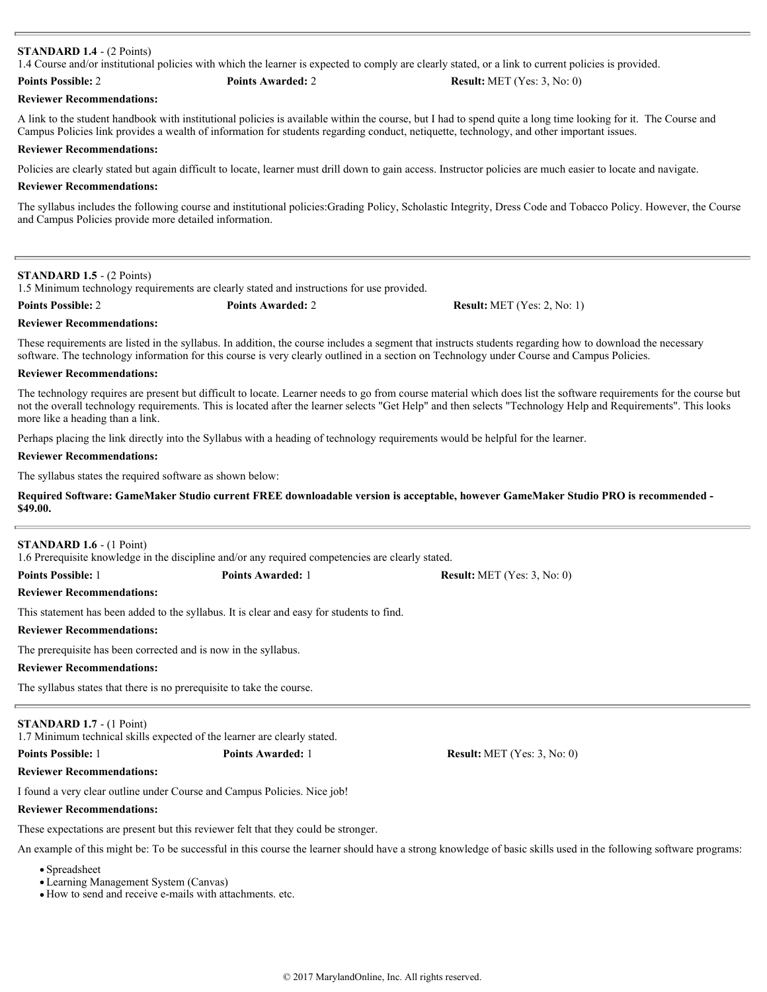# **STANDARD 1.4** - (2 Points)

1.4 Course and/or institutional policies with which the learner is expected to comply are clearly stated, or a link to current policies is provided.

# **Points Possible:** 2 **Points Awarded:** 2 **Result:** MET (Yes: 3, No: 0)

**Reviewer Recommendations:**

A link to the student handbook with institutional policies is available within the course, but I had to spend quite a long time looking for it. The Course and Campus Policies link provides a wealth of information for students regarding conduct, netiquette, technology, and other important issues.

### **Reviewer Recommendations:**

Policies are clearly stated but again difficult to locate, learner must drill down to gain access. Instructor policies are much easier to locate and navigate.

#### **Reviewer Recommendations:**

The syllabus includes the following course and institutional policies:Grading Policy, Scholastic Integrity, Dress Code and Tobacco Policy. However, the Course and Campus Policies provide more detailed information.

# **STANDARD 1.5** - (2 Points)

1.5 Minimum technology requirements are clearly stated and instructions for use provided.

|  | <b>Points Possible: 2</b> |  |
|--|---------------------------|--|
|--|---------------------------|--|

**Points Awarded:** 2 **Result:** MET (Yes: 2, No: 1)

# These requirements are listed in the syllabus. In addition, the course includes a segment that instructs students regarding how to download the necessary software. The technology information for this course is very clearly outlined in a section on Technology under Course and Campus Policies.

### **Reviewer Recommendations:**

**Reviewer Recommendations:**

The technology requires are present but difficult to locate. Learner needs to go from course material which does list the software requirements for the course but not the overall technology requirements. This is located after the learner selects "Get Help" and then selects "Technology Help and Requirements". This looks more like a heading than a link.

Perhaps placing the link directly into the Syllabus with a heading of technology requirements would be helpful for the learner.

#### **Reviewer Recommendations:**

The syllabus states the required software as shown below:

# **Required Software: GameMaker Studio current FREE downloadable version is acceptable, however GameMaker Studio PRO is recommended - \$49.00.**

# **STANDARD 1.6** - (1 Point)

1.6 Prerequisite knowledge in the discipline and/or any required competencies are clearly stated.

This statement has been added to the syllabus. It is clear and easy for students to find.

#### **Reviewer Recommendations:**

**Reviewer Recommendations:**

The prerequisite has been corrected and is now in the syllabus.

#### **Reviewer Recommendations:**

The syllabus states that there is no prerequisite to take the course.

**STANDARD 1.7** - (1 Point)

1.7 Minimum technical skills expected of the learner are clearly stated.

**Reviewer Recommendations:**

I found a very clear outline under Course and Campus Policies. Nice job!

#### **Reviewer Recommendations:**

These expectations are present but this reviewer felt that they could be stronger.

An example of this might be: To be successful in this course the learner should have a strong knowledge of basic skills used in the following software programs:

- Spreadsheet
- Learning Management System (Canvas)
- How to send and receive e-mails with attachments. etc.

**Points Possible:** 1 **Points Awarded:** 1 **Result:** MET (Yes: 3, No: 0)

**Points Possible:** 1 **Points Awarded:** 1 **Result:** MET (Yes: 3, No: 0)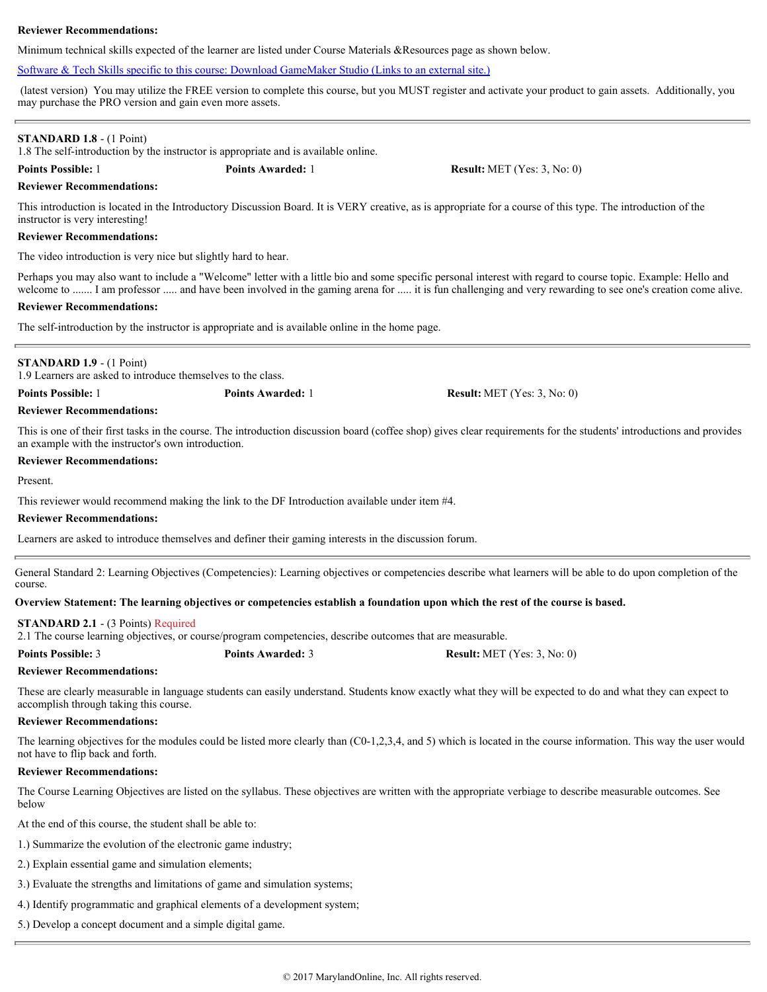Minimum technical skills expected of the learner are listed under Course Materials &Resources page as shown below.

# [Software & Tech Skills specific to this course: Download GameMaker Studio \(Links to an external site.\)](https://www.yoyogames.com/studio/download)

 (latest version) You may utilize the FREE version to complete this course, but you MUST register and activate your product to gain assets. Additionally, you may purchase the PRO version and gain even more assets.

## **STANDARD 1.8** - (1 Point)

1.8 The self-introduction by the instructor is appropriate and is available online.

**Points Possible:** 1 **Points Awarded:** 1 **Result:** MET (Yes: 3, No: 0)

#### **Reviewer Recommendations:**

This introduction is located in the Introductory Discussion Board. It is VERY creative, as is appropriate for a course of this type. The introduction of the instructor is very interesting!

#### **Reviewer Recommendations:**

The video introduction is very nice but slightly hard to hear.

Perhaps you may also want to include a "Welcome" letter with a little bio and some specific personal interest with regard to course topic. Example: Hello and welcome to ....... I am professor ..... and have been involved in the gaming arena for ..... it is fun challenging and very rewarding to see one's creation come alive.

### **Reviewer Recommendations:**

The self-introduction by the instructor is appropriate and is available online in the home page.

# **STANDARD 1.9** - (1 Point)

1.9 Learners are asked to introduce themselves to the class.

**Points Possible:** 1 **Points Awarded:** 1 **Result:** MET (Yes: 3, No: 0)

# **Reviewer Recommendations:**

This is one of their first tasks in the course. The introduction discussion board (coffee shop) gives clear requirements for the students' introductions and provides an example with the instructor's own introduction.

### **Reviewer Recommendations:**

Present.

This reviewer would recommend making the link to the DF Introduction available under item #4.

# **Reviewer Recommendations:**

Learners are asked to introduce themselves and definer their gaming interests in the discussion forum.

General Standard 2: Learning Objectives (Competencies): Learning objectives or competencies describe what learners will be able to do upon completion of the course.

# **Overview Statement: The learning objectives or competencies establish a foundation upon which the rest of the course is based.**

#### **STANDARD 2.1** - (3 Points) Required

2.1 The course learning objectives, or course/program competencies, describe outcomes that are measurable.

**Points Possible:** 3 **Points Awarded:** 3 **Result:** MET (Yes: 3, No: 0)

# **Reviewer Recommendations:**

These are clearly measurable in language students can easily understand. Students know exactly what they will be expected to do and what they can expect to accomplish through taking this course.

### **Reviewer Recommendations:**

The learning objectives for the modules could be listed more clearly than (C0-1,2,3,4, and 5) which is located in the course information. This way the user would not have to flip back and forth.

# **Reviewer Recommendations:**

The Course Learning Objectives are listed on the syllabus. These objectives are written with the appropriate verbiage to describe measurable outcomes. See below

At the end of this course, the student shall be able to:

- 1.) Summarize the evolution of the electronic game industry;
- 2.) Explain essential game and simulation elements;
- 3.) Evaluate the strengths and limitations of game and simulation systems;
- 4.) Identify programmatic and graphical elements of a development system;
- 5.) Develop a concept document and a simple digital game.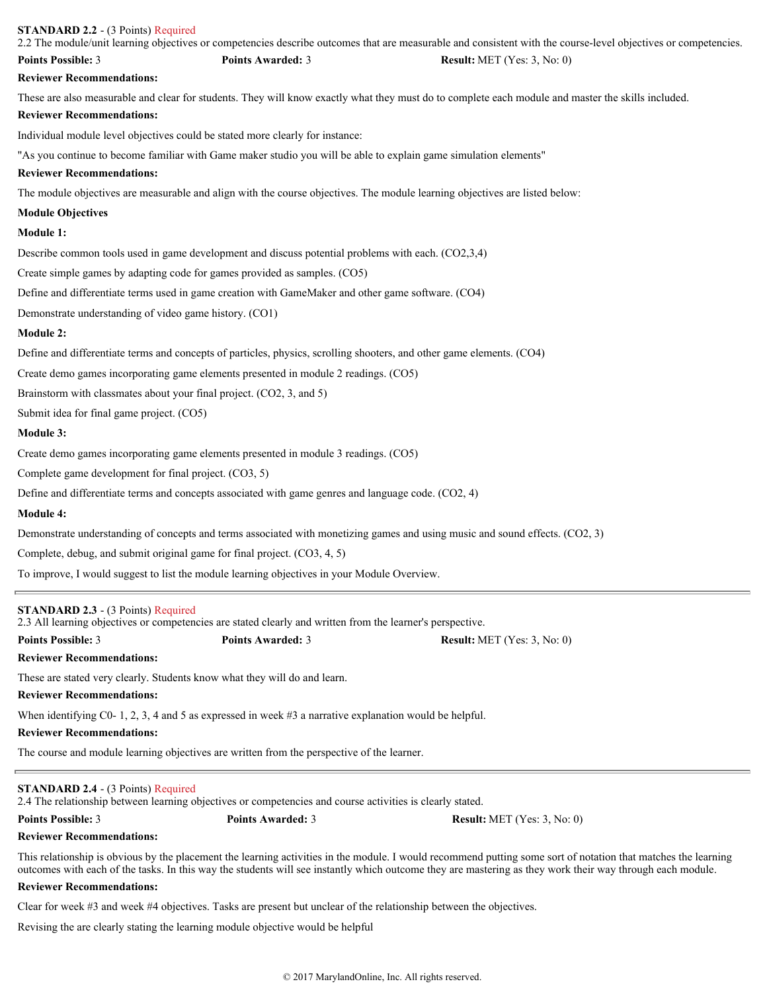| <b>STANDARD 2.2 - (3 Points) Required</b>                            |                                                                                                                       | 2.2 The module/unit learning objectives or competencies describe outcomes that are measurable and consistent with the course-level objectives or competencies. |
|----------------------------------------------------------------------|-----------------------------------------------------------------------------------------------------------------------|----------------------------------------------------------------------------------------------------------------------------------------------------------------|
| <b>Points Possible: 3</b>                                            | <b>Points Awarded: 3</b>                                                                                              | <b>Result:</b> MET (Yes: 3, No: 0)                                                                                                                             |
| <b>Reviewer Recommendations:</b>                                     |                                                                                                                       |                                                                                                                                                                |
|                                                                      |                                                                                                                       | These are also measurable and clear for students. They will know exactly what they must do to complete each module and master the skills included.             |
| <b>Reviewer Recommendations:</b>                                     |                                                                                                                       |                                                                                                                                                                |
|                                                                      | Individual module level objectives could be stated more clearly for instance:                                         |                                                                                                                                                                |
| <b>Reviewer Recommendations:</b>                                     | "As you continue to become familiar with Game maker studio you will be able to explain game simulation elements"      |                                                                                                                                                                |
|                                                                      |                                                                                                                       | The module objectives are measurable and align with the course objectives. The module learning objectives are listed below:                                    |
| <b>Module Objectives</b>                                             |                                                                                                                       |                                                                                                                                                                |
| Module 1:                                                            |                                                                                                                       |                                                                                                                                                                |
|                                                                      | Describe common tools used in game development and discuss potential problems with each. (CO2,3,4)                    |                                                                                                                                                                |
|                                                                      | Create simple games by adapting code for games provided as samples. (CO5)                                             |                                                                                                                                                                |
|                                                                      | Define and differentiate terms used in game creation with GameMaker and other game software. (CO4)                    |                                                                                                                                                                |
| Demonstrate understanding of video game history. (CO1)               |                                                                                                                       |                                                                                                                                                                |
| Module 2:                                                            |                                                                                                                       |                                                                                                                                                                |
|                                                                      | Define and differentiate terms and concepts of particles, physics, scrolling shooters, and other game elements. (CO4) |                                                                                                                                                                |
|                                                                      | Create demo games incorporating game elements presented in module 2 readings. (CO5)                                   |                                                                                                                                                                |
| Brainstorm with classmates about your final project. (CO2, 3, and 5) |                                                                                                                       |                                                                                                                                                                |
| Submit idea for final game project. (CO5)                            |                                                                                                                       |                                                                                                                                                                |
| Module 3:                                                            |                                                                                                                       |                                                                                                                                                                |
|                                                                      | Create demo games incorporating game elements presented in module 3 readings. (CO5)                                   |                                                                                                                                                                |
| Complete game development for final project. (CO3, 5)                |                                                                                                                       |                                                                                                                                                                |
|                                                                      | Define and differentiate terms and concepts associated with game genres and language code. (CO2, 4)                   |                                                                                                                                                                |
| <b>Module 4:</b>                                                     |                                                                                                                       |                                                                                                                                                                |
|                                                                      |                                                                                                                       | Demonstrate understanding of concepts and terms associated with monetizing games and using music and sound effects. (CO2, 3)                                   |
|                                                                      | Complete, debug, and submit original game for final project. (CO3, 4, 5)                                              |                                                                                                                                                                |
|                                                                      | To improve, I would suggest to list the module learning objectives in your Module Overview.                           |                                                                                                                                                                |
| <b>STANDARD 2.3 - (3 Points) Required</b>                            | 2.3 All learning objectives or competencies are stated clearly and written from the learner's perspective.            |                                                                                                                                                                |
| <b>Points Possible: 3</b>                                            | <b>Points Awarded: 3</b>                                                                                              | <b>Result:</b> MET (Yes: $3$ , No: 0)                                                                                                                          |
| <b>Reviewer Recommendations:</b>                                     |                                                                                                                       |                                                                                                                                                                |
|                                                                      | These are stated very clearly. Students know what they will do and learn.                                             |                                                                                                                                                                |
| <b>Reviewer Recommendations:</b>                                     |                                                                                                                       |                                                                                                                                                                |

When identifying C0- 1, 2, 3, 4 and 5 as expressed in week #3 a narrative explanation would be helpful.

# **Reviewer Recommendations:**

The course and module learning objectives are written from the perspective of the learner.

# **STANDARD 2.4** - (3 Points) Required

2.4 The relationship between learning objectives or competencies and course activities is clearly stated.

**Points Possible:** 3 **Points Awarded:** 3 **Result:** MET (Yes: 3, No: 0)

# **Reviewer Recommendations:**

This relationship is obvious by the placement the learning activities in the module. I would recommend putting some sort of notation that matches the learning outcomes with each of the tasks. In this way the students will see instantly which outcome they are mastering as they work their way through each module.

# **Reviewer Recommendations:**

Clear for week #3 and week #4 objectives. Tasks are present but unclear of the relationship between the objectives.

Revising the are clearly stating the learning module objective would be helpful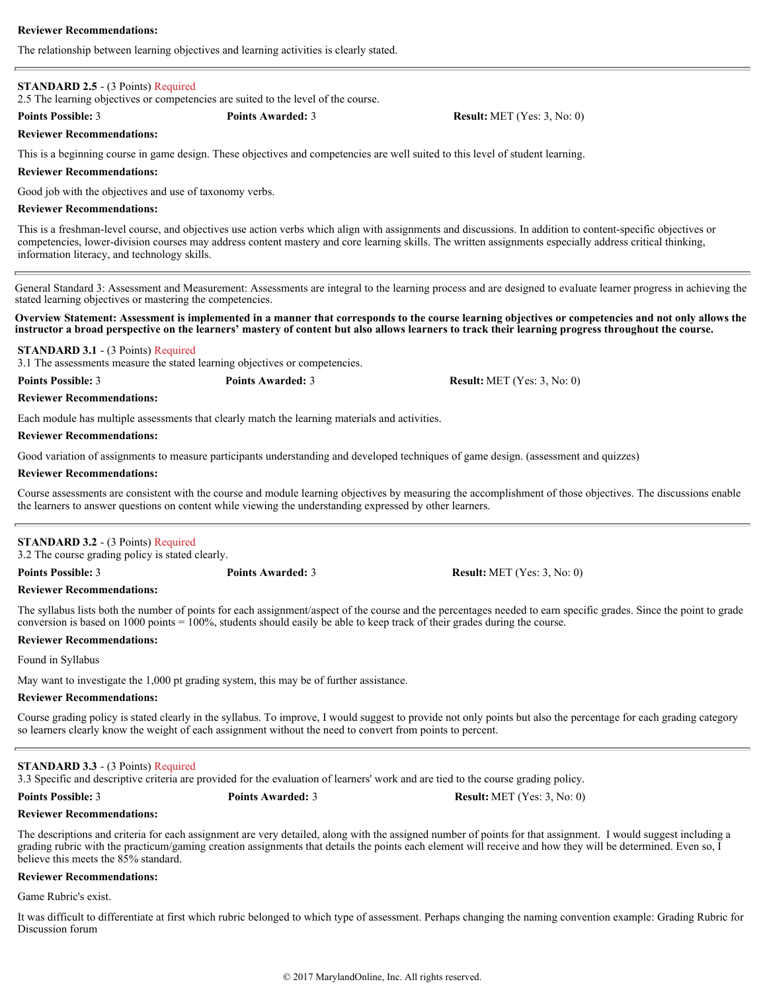The relationship between learning objectives and learning activities is clearly stated.

# **STANDARD 2.5** - (3 Points) Required

2.5 The learning objectives or competencies are suited to the level of the course.

**Points Possible:** 3 **Points Awarded:** 3 **Result:** MET (Yes: 3, No: 0)

# **Reviewer Recommendations:**

This is a beginning course in game design. These objectives and competencies are well suited to this level of student learning.

# **Reviewer Recommendations:**

Good job with the objectives and use of taxonomy verbs.

# **Reviewer Recommendations:**

This is a freshman-level course, and objectives use action verbs which align with assignments and discussions. In addition to content-specific objectives or competencies, lower-division courses may address content mastery and core learning skills. The written assignments especially address critical thinking, information literacy, and technology skills.

General Standard 3: Assessment and Measurement: Assessments are integral to the learning process and are designed to evaluate learner progress in achieving the stated learning objectives or mastering the competencies.

**Overview Statement: Assessment is implemented in a manner that corresponds to the course learning objectives or competencies and not only allows the instructor a broad perspective on the learners' mastery of content but also allows learners to track their learning progress throughout the course.**

**STANDARD 3.1** - (3 Points) Required

3.1 The assessments measure the stated learning objectives or competencies.

**Points Possible:** 3 **Points Awarded:** 3 **Result:** MET (Yes: 3, No: 0)

Each module has multiple assessments that clearly match the learning materials and activities.

# **Reviewer Recommendations:**

**Reviewer Recommendations:**

Good variation of assignments to measure participants understanding and developed techniques of game design. (assessment and quizzes)

# **Reviewer Recommendations:**

Course assessments are consistent with the course and module learning objectives by measuring the accomplishment of those objectives. The discussions enable the learners to answer questions on content while viewing the understanding expressed by other learners.

# **STANDARD 3.2** - (3 Points) Required

3.2 The course grading policy is stated clearly.

**Reviewer Recommendations:**

The syllabus lists both the number of points for each assignment/aspect of the course and the percentages needed to earn specific grades. Since the point to grade conversion is based on 1000 points = 100%, students should easily be able to keep track of their grades during the course.

# **Reviewer Recommendations:**

Found in Syllabus

May want to investigate the 1,000 pt grading system, this may be of further assistance.

# **Reviewer Recommendations:**

Course grading policy is stated clearly in the syllabus. To improve, I would suggest to provide not only points but also the percentage for each grading category so learners clearly know the weight of each assignment without the need to convert from points to percent.

# **STANDARD 3.3** - (3 Points) Required

3.3 Specific and descriptive criteria are provided for the evaluation of learners' work and are tied to the course grading policy.

**Reviewer Recommendations:**

The descriptions and criteria for each assignment are very detailed, along with the assigned number of points for that assignment. I would suggest including a grading rubric with the practicum/gaming creation assignments that details the points each element will receive and how they will be determined. Even so, I believe this meets the 85% standard.

# **Reviewer Recommendations:**

Game Rubric's exist.

It was difficult to differentiate at first which rubric belonged to which type of assessment. Perhaps changing the naming convention example: Grading Rubric for Discussion forum

**Points Possible:** 3 **Points Awarded:** 3 **Result:** MET (Yes: 3, No: 0)

**Points Possible:** 3 **Points Awarded:** 3 **Result:** MET (Yes: 3, No: 0)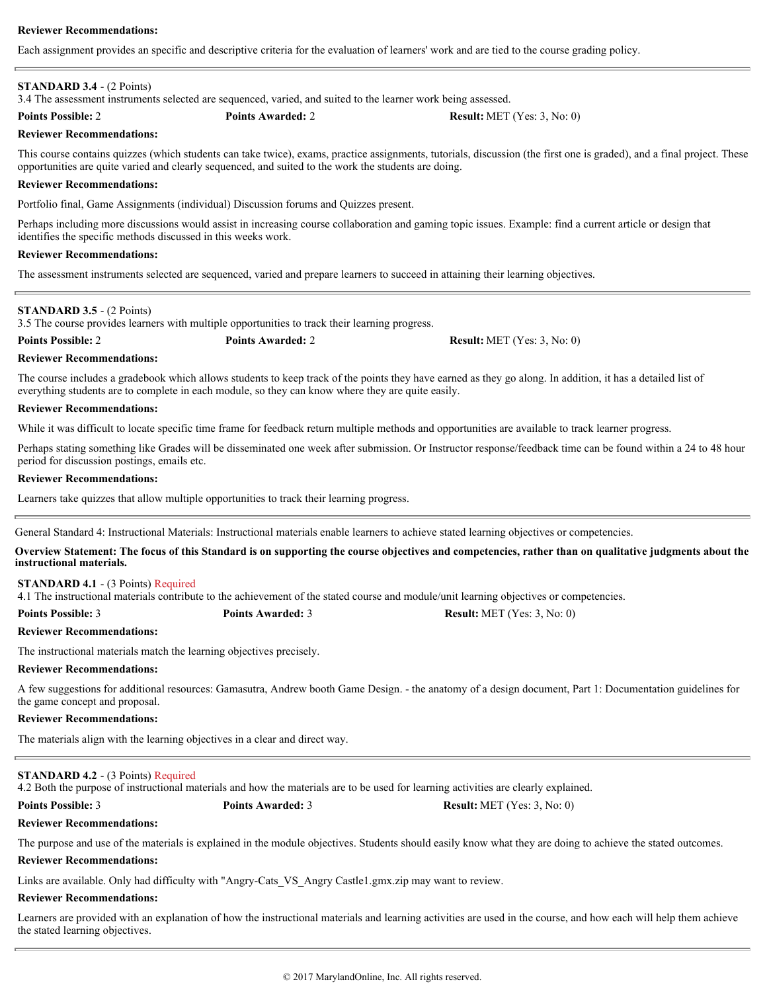Each assignment provides an specific and descriptive criteria for the evaluation of learners' work and are tied to the course grading policy.

# **STANDARD 3.4** - (2 Points)

3.4 The assessment instruments selected are sequenced, varied, and suited to the learner work being assessed.

**Points Possible:** 2 **Points Awarded:** 2 **Result:** MET (Yes: 3, No: 0)

**Reviewer Recommendations:**

This course contains quizzes (which students can take twice), exams, practice assignments, tutorials, discussion (the first one is graded), and a final project. These opportunities are quite varied and clearly sequenced, and suited to the work the students are doing.

# **Reviewer Recommendations:**

Portfolio final, Game Assignments (individual) Discussion forums and Quizzes present.

Perhaps including more discussions would assist in increasing course collaboration and gaming topic issues. Example: find a current article or design that identifies the specific methods discussed in this weeks work.

# **Reviewer Recommendations:**

The assessment instruments selected are sequenced, varied and prepare learners to succeed in attaining their learning objectives.

# **STANDARD 3.5** - (2 Points)

3.5 The course provides learners with multiple opportunities to track their learning progress.

**Points Possible:** 2 **Points Awarded:** 2 **Result:** MET (Yes: 3, No: 0)

# **Reviewer Recommendations:**

The course includes a gradebook which allows students to keep track of the points they have earned as they go along. In addition, it has a detailed list of everything students are to complete in each module, so they can know where they are quite easily.

# **Reviewer Recommendations:**

While it was difficult to locate specific time frame for feedback return multiple methods and opportunities are available to track learner progress.

Perhaps stating something like Grades will be disseminated one week after submission. Or Instructor response/feedback time can be found within a 24 to 48 hour period for discussion postings, emails etc.

# **Reviewer Recommendations:**

Learners take quizzes that allow multiple opportunities to track their learning progress.

General Standard 4: Instructional Materials: Instructional materials enable learners to achieve stated learning objectives or competencies.

**Overview Statement: The focus of this Standard is on supporting the course objectives and competencies, rather than on qualitative judgments about the instructional materials.**

# **STANDARD 4.1** - (3 Points) Required

4.1 The instructional materials contribute to the achievement of the stated course and module/unit learning objectives or competencies.

**Points Possible:** 3 **Points Awarded:** 3 **Result:** MET (Yes: 3, No: 0)

# **Reviewer Recommendations:**

The instructional materials match the learning objectives precisely.

# **Reviewer Recommendations:**

A few suggestions for additional resources: Gamasutra, Andrew booth Game Design. - the anatomy of a design document, Part 1: Documentation guidelines for the game concept and proposal.

# **Reviewer Recommendations:**

The materials align with the learning objectives in a clear and direct way.

# **STANDARD 4.2** - (3 Points) Required

4.2 Both the purpose of instructional materials and how the materials are to be used for learning activities are clearly explained.

**Points Possible:** 3 **Points Awarded:** 3 **Result:** MET (Yes: 3, No: 0)

# **Reviewer Recommendations:**

The purpose and use of the materials is explained in the module objectives. Students should easily know what they are doing to achieve the stated outcomes.

# **Reviewer Recommendations:**

Links are available. Only had difficulty with "Angry-Cats\_VS\_Angry Castle1.gmx.zip may want to review.

# **Reviewer Recommendations:**

Learners are provided with an explanation of how the instructional materials and learning activities are used in the course, and how each will help them achieve the stated learning objectives.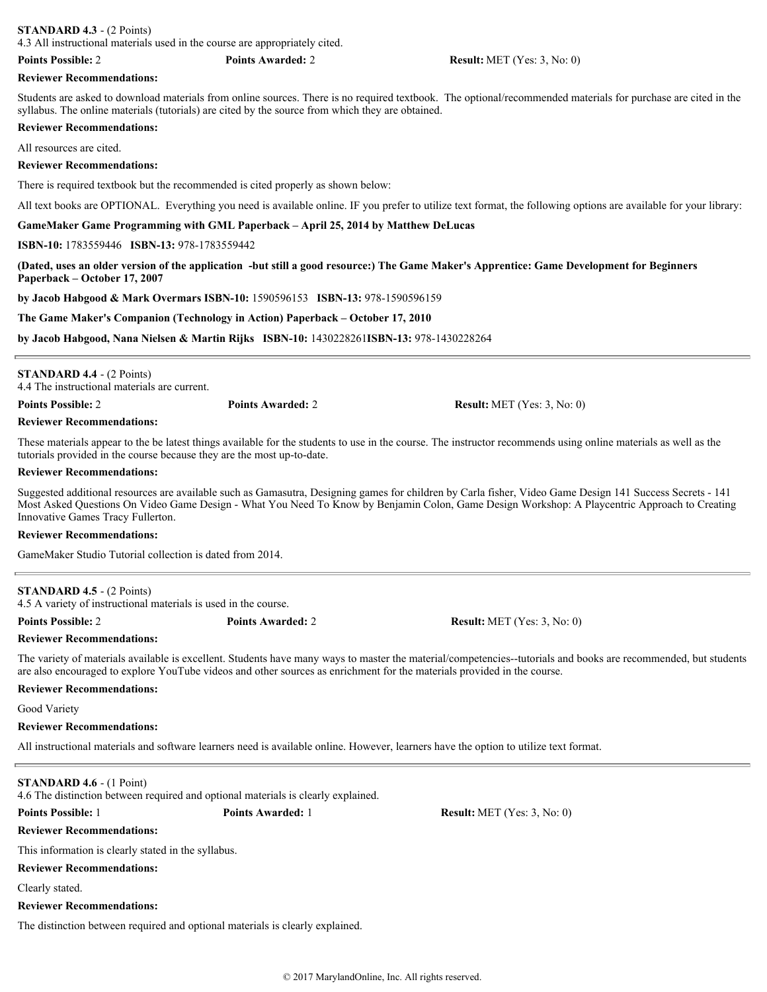# **STANDARD 4.3** - (2 Points)

4.3 All instructional materials used in the course are appropriately cited.

#### **Reviewer Recommendations:**

Students are asked to download materials from online sources. There is no required textbook. The optional/recommended materials for purchase are cited in the syllabus. The online materials (tutorials) are cited by the source from which they are obtained.

### **Reviewer Recommendations:**

All resources are cited.

### **Reviewer Recommendations:**

There is required textbook but the recommended is cited properly as shown below:

All text books are OPTIONAL. Everything you need is available online. IF you prefer to utilize text format, the following options are available for your library:

**GameMaker Game Programming with GML Paperback – April 25, 2014 by Matthew DeLucas**

#### **ISBN-10:** 1783559446 **ISBN-13:** 978-1783559442

**(Dated, uses an older version of the application -but still a good resource:) The Game Maker's Apprentice: Game Development for Beginners Paperback – October 17, 2007**

**by Jacob Habgood & Mark Overmars ISBN-10:** 1590596153 **ISBN-13:** 978-1590596159

**The Game Maker's Companion (Technology in Action) Paperback – October 17, 2010**

**by Jacob Habgood, Nana Nielsen & Martin Rijks ISBN-10:** 1430228261**ISBN-13:** 978-1430228264

| <b>STANDARD 4.4 - <math>(2 \text{ Points})</math></b><br>4.4 The instructional materials are current. |                          |                                      |
|-------------------------------------------------------------------------------------------------------|--------------------------|--------------------------------------|
| <b>Points Possible: 2</b>                                                                             | <b>Points Awarded: 2</b> | <b>Result:</b> MET $(Yes: 3, No: 0)$ |

# **Reviewer Recommendations:**

These materials appear to the be latest things available for the students to use in the course. The instructor recommends using online materials as well as the tutorials provided in the course because they are the most up-to-date.

### **Reviewer Recommendations:**

Suggested additional resources are available such as Gamasutra, Designing games for children by Carla fisher, Video Game Design 141 Success Secrets - 141 Most Asked Questions On Video Game Design - What You Need To Know by Benjamin Colon, Game Design Workshop: A Playcentric Approach to Creating Innovative Games Tracy Fullerton.

# **Reviewer Recommendations:**

GameMaker Studio Tutorial collection is dated from 2014.

# **STANDARD 4.5** - (2 Points)

4.5 A variety of instructional materials is used in the course.

**Points Possible:** 2 **Points Awarded:** 2 **Result:** MET (Yes: 3, No: 0)

**Reviewer Recommendations:**

The variety of materials available is excellent. Students have many ways to master the material/competencies--tutorials and books are recommended, but students are also encouraged to explore YouTube videos and other sources as enrichment for the materials provided in the course.

# **Reviewer Recommendations:**

Good Variety

#### **Reviewer Recommendations:**

All instructional materials and software learners need is available online. However, learners have the option to utilize text format.

# **STANDARD 4.6** - (1 Point)

4.6 The distinction between required and optional materials is clearly explained.

**Reviewer Recommendations:**

This information is clearly stated in the syllabus.

# **Reviewer Recommendations:**

Clearly stated.

# **Reviewer Recommendations:**

The distinction between required and optional materials is clearly explained.

**Points Possible:** 1 **Points Awarded:** 1 **Result:** MET (Yes: 3, No: 0)

**Points Possible:** 2 **Points Awarded:** 2 **Result:** MET (Yes: 3, No: 0)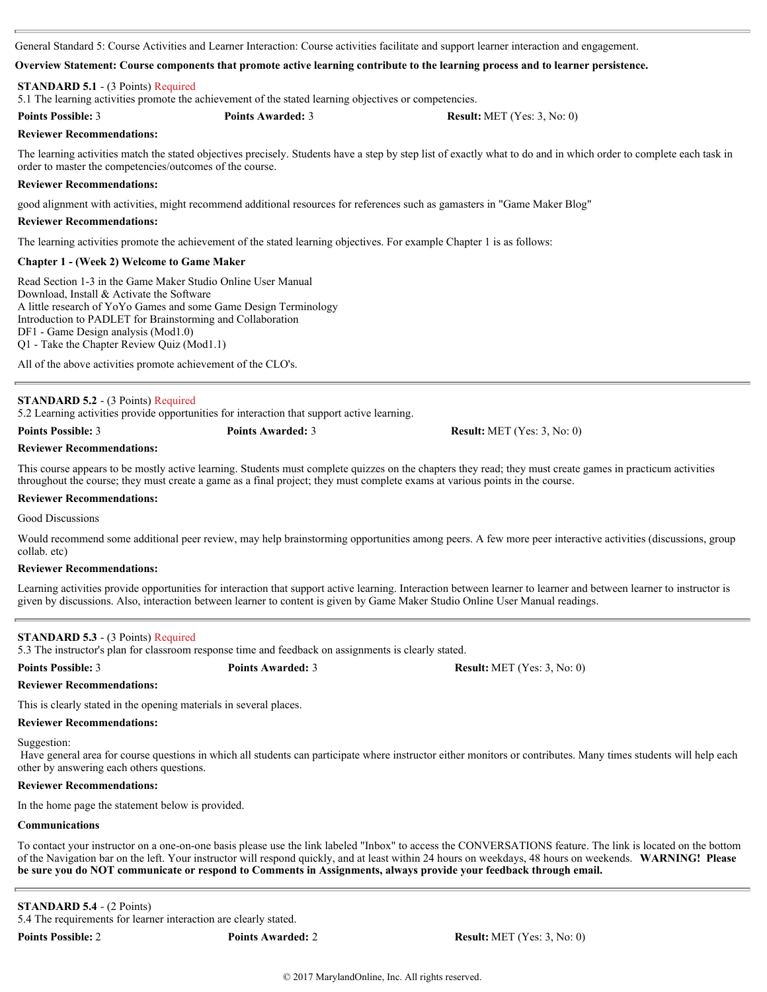General Standard 5: Course Activities and Learner Interaction: Course activities facilitate and support learner interaction and engagement.

### **Overview Statement: Course components that promote active learning contribute to the learning process and to learner persistence.**

# **STANDARD 5.1** - (3 Points) Required

5.1 The learning activities promote the achievement of the stated learning objectives or competencies.

**Points Possible:** 3 **Points Awarded:** 3 **Result:** MET (Yes: 3, No: 0)

## **Reviewer Recommendations:**

The learning activities match the stated objectives precisely. Students have a step by step list of exactly what to do and in which order to complete each task in order to master the competencies/outcomes of the course.

## **Reviewer Recommendations:**

good alignment with activities, might recommend additional resources for references such as gamasters in "Game Maker Blog"

### **Reviewer Recommendations:**

The learning activities promote the achievement of the stated learning objectives. For example Chapter 1 is as follows:

# **Chapter 1 - (Week 2) Welcome to Game Maker**

Read Section 1-3 in the Game Maker Studio Online User Manual Download, Install & Activate the Software A little research of YoYo Games and some Game Design Terminology Introduction to PADLET for Brainstorming and Collaboration DF1 - Game Design analysis (Mod1.0) Q1 - Take the Chapter Review Quiz (Mod1.1)

All of the above activities promote achievement of the CLO's.

# **STANDARD 5.2** - (3 Points) Required

5.2 Learning activities provide opportunities for interaction that support active learning.

```
Points Possible: 3 Points Awarded: 3 Result: MET (Yes: 3, No: 0)
```
**Reviewer Recommendations:**

This course appears to be mostly active learning. Students must complete quizzes on the chapters they read; they must create games in practicum activities throughout the course; they must create a game as a final project; they must complete exams at various points in the course.

## **Reviewer Recommendations:**

Good Discussions

Would recommend some additional peer review, may help brainstorming opportunities among peers. A few more peer interactive activities (discussions, group collab. etc)

# **Reviewer Recommendations:**

Learning activities provide opportunities for interaction that support active learning. Interaction between learner to learner and between learner to instructor is given by discussions. Also, interaction between learner to content is given by Game Maker Studio Online User Manual readings.

# **STANDARD 5.3** - (3 Points) Required

5.3 The instructor's plan for classroom response time and feedback on assignments is clearly stated.

**Points Possible:** 3 **Points Awarded:** 3 **Result:** MET (Yes: 3, No: 0)

#### **Reviewer Recommendations:**

This is clearly stated in the opening materials in several places.

#### **Reviewer Recommendations:**

Suggestion:

 Have general area for course questions in which all students can participate where instructor either monitors or contributes. Many times students will help each other by answering each others questions.

### **Reviewer Recommendations:**

In the home page the statement below is provided.

# **Communications**

To contact your instructor on a one-on-one basis please use the link labeled "Inbox" to access the CONVERSATIONS feature. The link is located on the bottom of the Navigation bar on the left. Your instructor will respond quickly, and at least within 24 hours on weekdays, 48 hours on weekends. **WARNING! Please be sure you do NOT communicate or respond to Comments in Assignments, always provide your feedback through email.** 

**STANDARD 5.4** - (2 Points)

5.4 The requirements for learner interaction are clearly stated.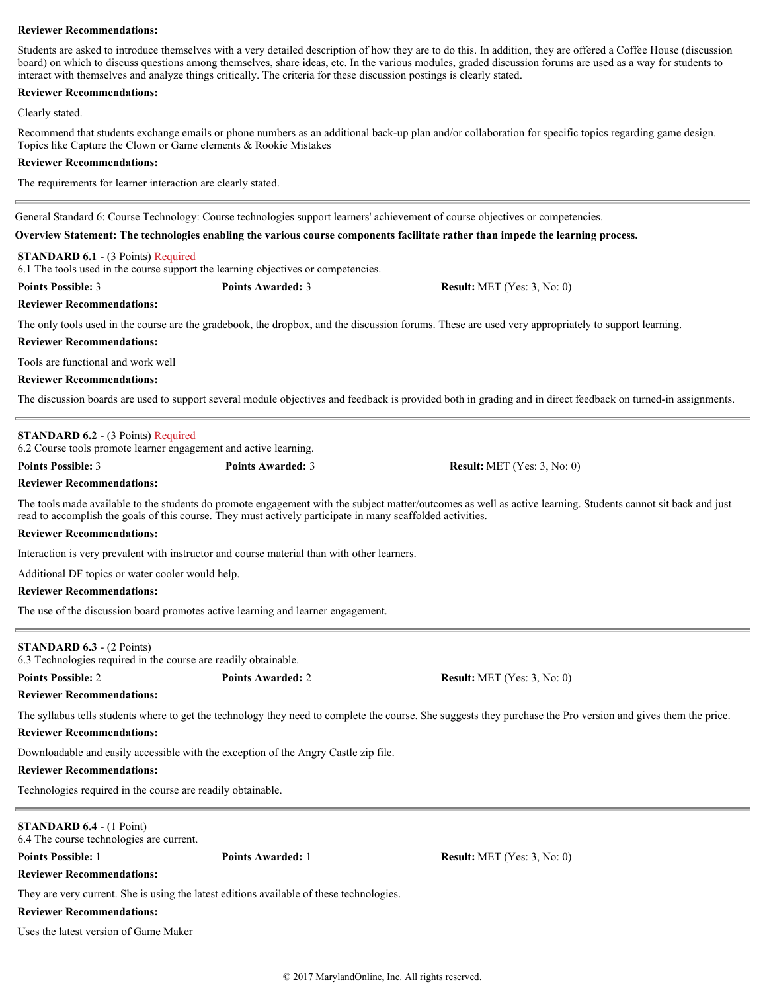Students are asked to introduce themselves with a very detailed description of how they are to do this. In addition, they are offered a Coffee House (discussion board) on which to discuss questions among themselves, share ideas, etc. In the various modules, graded discussion forums are used as a way for students to interact with themselves and analyze things critically. The criteria for these discussion postings is clearly stated.

# **Reviewer Recommendations:**

Clearly stated.

Recommend that students exchange emails or phone numbers as an additional back-up plan and/or collaboration for specific topics regarding game design. Topics like Capture the Clown or Game elements & Rookie Mistakes

# **Reviewer Recommendations:**

The requirements for learner interaction are clearly stated.

General Standard 6: Course Technology: Course technologies support learners' achievement of course objectives or competencies.

# **Overview Statement: The technologies enabling the various course components facilitate rather than impede the learning process.**

# **STANDARD 6.1** - (3 Points) Required

6.1 The tools used in the course support the learning objectives or competencies.

**Points Possible:** 3 **Points Awarded:** 3 **Result:** MET (Yes: 3, No: 0)

# **Reviewer Recommendations:**

The only tools used in the course are the gradebook, the dropbox, and the discussion forums. These are used very appropriately to support learning.

# **Reviewer Recommendations:**

Tools are functional and work well

# **Reviewer Recommendations:**

The discussion boards are used to support several module objectives and feedback is provided both in grading and in direct feedback on turned-in assignments.

# **STANDARD 6.2** - (3 Points) Required

6.2 Course tools promote learner engagement and active learning.

**Points Possible:** 3 **Points Awarded:** 3 **Result:** MET (Yes: 3, No: 0)

**Reviewer Recommendations:**

The tools made available to the students do promote engagement with the subject matter/outcomes as well as active learning. Students cannot sit back and just read to accomplish the goals of this course. They must actively participate in many scaffolded activities.

# **Reviewer Recommendations:**

Interaction is very prevalent with instructor and course material than with other learners.

Additional DF topics or water cooler would help.

# **Reviewer Recommendations:**

The use of the discussion board promotes active learning and learner engagement.

# **STANDARD 6.3** - (2 Points)

6.3 Technologies required in the course are readily obtainable.

**Points Possible:** 2 **Points Awarded:** 2 **Result:** MET (Yes: 3, No: 0)

**Reviewer Recommendations:**

The syllabus tells students where to get the technology they need to complete the course. She suggests they purchase the Pro version and gives them the price.

# **Reviewer Recommendations:**

Downloadable and easily accessible with the exception of the Angry Castle zip file.

# **Reviewer Recommendations:**

Technologies required in the course are readily obtainable.

# **STANDARD 6.4** - (1 Point)

6.4 The course technologies are current.

**Points Possible:** 1 **Points Awarded:** 1 **Result:** MET (Yes: 3, No: 0)

**Reviewer Recommendations:**

They are very current. She is using the latest editions available of these technologies.

# **Reviewer Recommendations:**

Uses the latest version of Game Maker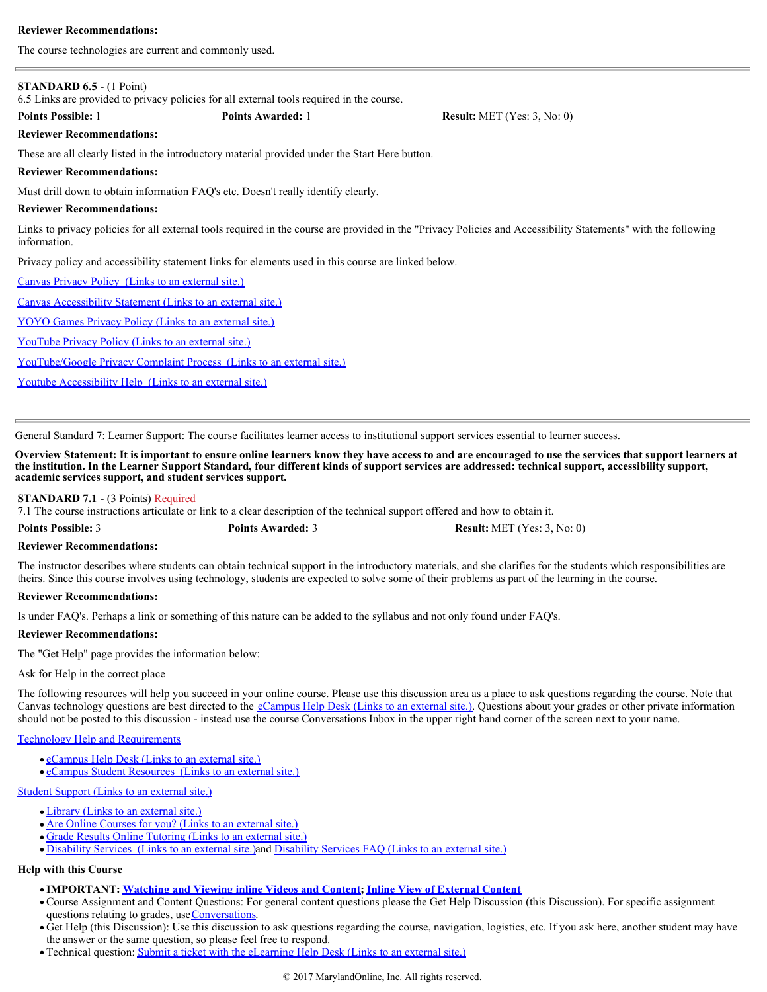The course technologies are current and commonly used.

| <b>STANDARD 6.5 - (1 Point)</b>                                                                                                                                                | 6.5 Links are provided to privacy policies for all external tools required in the course.       |                                       |  |
|--------------------------------------------------------------------------------------------------------------------------------------------------------------------------------|-------------------------------------------------------------------------------------------------|---------------------------------------|--|
| <b>Points Possible: 1</b>                                                                                                                                                      | <b>Points Awarded: 1</b>                                                                        | <b>Result:</b> MET (Yes: $3$ , No: 0) |  |
| <b>Reviewer Recommendations:</b>                                                                                                                                               |                                                                                                 |                                       |  |
|                                                                                                                                                                                | These are all clearly listed in the introductory material provided under the Start Here button. |                                       |  |
| <b>Reviewer Recommendations:</b>                                                                                                                                               |                                                                                                 |                                       |  |
|                                                                                                                                                                                | Must drill down to obtain information FAQ's etc. Doesn't really identify clearly.               |                                       |  |
| <b>Reviewer Recommendations:</b>                                                                                                                                               |                                                                                                 |                                       |  |
| Links to privacy policies for all external tools required in the course are provided in the "Privacy Policies and Accessibility Statements" with the following<br>information. |                                                                                                 |                                       |  |
| Privacy policy and accessibility statement links for elements used in this course are linked below.                                                                            |                                                                                                 |                                       |  |
| Canvas Privacy Policy (Links to an external site.)                                                                                                                             |                                                                                                 |                                       |  |
| Canvas Accessibility Statement (Links to an external site.)                                                                                                                    |                                                                                                 |                                       |  |
| YOYO Games Privacy Policy (Links to an external site.)                                                                                                                         |                                                                                                 |                                       |  |
| <b>YouTube Privacy Policy (Links to an external site.)</b>                                                                                                                     |                                                                                                 |                                       |  |
| <b>YouTube/Google Privacy Complaint Process (Links to an external site.)</b>                                                                                                   |                                                                                                 |                                       |  |

[Youtube Accessibility Help \(Links to an external site.\)](https://www.google.com/accessibility/all-products-features.html)

General Standard 7: Learner Support: The course facilitates learner access to institutional support services essential to learner success.

**Overview Statement: It is important to ensure online learners know they have access to and are encouraged to use the services that support learners at the institution. In the Learner Support Standard, four different kinds of support services are addressed: technical support, accessibility support, academic services support, and student services support.**

#### **STANDARD 7.1** - (3 Points) Required

7.1 The course instructions articulate or link to a clear description of the technical support offered and how to obtain it.

**Points Possible:** 3 **Points Awarded:** 3 **Result:** MET (Yes: 3, No: 0)

# **Reviewer Recommendations:**

The instructor describes where students can obtain technical support in the introductory materials, and she clarifies for the students which responsibilities are theirs. Since this course involves using technology, students are expected to solve some of their problems as part of the learning in the course.

### **Reviewer Recommendations:**

Is under FAQ's. Perhaps a link or something of this nature can be added to the syllabus and not only found under FAQ's.

#### **Reviewer Recommendations:**

The "Get Help" page provides the information below:

# Ask for Help in the correct place

The following resources will help you succeed in your online course. Please use this discussion area as a place to ask questions regarding the course. Note that Canvas technology questions are best directed to the **[eCampus Help Desk \(Links to an external site.\)](http://www.nctc.edu/eLearning_Department/Support.aspx)** Questions about your grades or other private information should not be posted to this discussion - instead use the course Conversations Inbox in the upper right hand corner of the screen next to your name.

# [Technology Help and Requirements](https://nctc.instructure.com/courses/10763/pages/technology-help-and-requirements)

- [eCampus Help Desk \(Links to an external site.\)](http://www.nctc.edu/eLearning_Department/Support.aspx)
- [eCampus Student Resources \(Links to an external site.\)](http://www.nctc.edu/eLearning_Department/Student_Resources.aspx)

## [Student Support \(Links to an external site.\)](http://www.nctc.edu/StudentServices.aspx)

- [Library \(Links to an external site.\)](http://www.nctc.edu/Library.aspx)
- [Are Online Courses for you? \(Links to an external site.\)](http://www.nctc.edu/eLearning_Department/SmarterMeasure.aspx)
- [Grade Results Online Tutoring \(Links to an external site.\)](http://www.nctc.edu/eLearning_Department/Grade_Results.aspx)
- [Disability Services \(Links to an external site.\)](http://www.nctc.edu/StudentServices/SupportServices/Disabilityservices.aspx)and [Disability Services FAQ \(Links to an external site.\)](http://www.nctc.edu/StudentServices/SupportServices/Disabilityservices/DisabilitiesStudentResources/DisabilitiesStudentsFAQ.aspx)

#### **Help with this Course**

- **IMPORTANT: [Watching and Viewing inline Videos and Content](https://nctc.instructure.com/courses/10763/pages/watching-and-viewing-inline-videos-and-content); [Inline View of External Content](https://nctc.instructure.com/courses/10763/pages/important-inline-view-of-external-content)**
- Course Assignment and Content Questions: For general content questions please the Get Help Discussion (this Discussion). For specific assignment questions relating to grades, use [Conversations](https://nctc.instructure.com/conversations).
- Get Help (this Discussion): Use this discussion to ask questions regarding the course, navigation, logistics, etc. If you ask here, another student may have the answer or the same question, so please feel free to respond.
- Technical question: [Submit a ticket with the eLearning Help Desk \(Links to an external site.\)](http://www.nctc.edu/eLearning_Department/Support.aspx)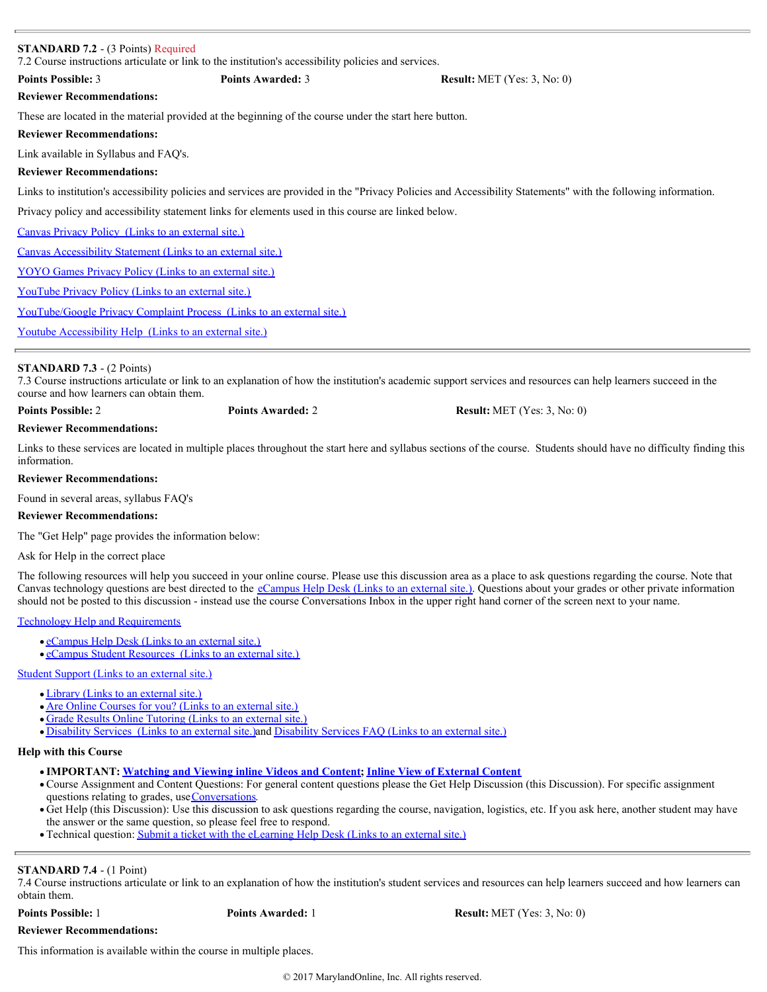| <b>Points Possible: 3</b>                                          | <b>Points Awarded: 3</b>                                                                               | <b>Result:</b> MET (Yes: $3$ , No: 0)                                                                                                                          |
|--------------------------------------------------------------------|--------------------------------------------------------------------------------------------------------|----------------------------------------------------------------------------------------------------------------------------------------------------------------|
| <b>Reviewer Recommendations:</b>                                   |                                                                                                        |                                                                                                                                                                |
|                                                                    | These are located in the material provided at the beginning of the course under the start here button. |                                                                                                                                                                |
| <b>Reviewer Recommendations:</b>                                   |                                                                                                        |                                                                                                                                                                |
| Link available in Syllabus and FAQ's.                              |                                                                                                        |                                                                                                                                                                |
| <b>Reviewer Recommendations:</b>                                   |                                                                                                        |                                                                                                                                                                |
|                                                                    |                                                                                                        | Links to institution's accessibility policies and services are provided in the "Privacy Policies and Accessibility Statements" with the following information. |
|                                                                    | Privacy policy and accessibility statement links for elements used in this course are linked below.    |                                                                                                                                                                |
| <b>Canvas Privacy Policy</b> (Links to an external site.)          |                                                                                                        |                                                                                                                                                                |
| <b>Canvas Accessibility Statement (Links to an external site.)</b> |                                                                                                        |                                                                                                                                                                |
| <b>YOYO Games Privacy Policy (Links to an external site.)</b>      |                                                                                                        |                                                                                                                                                                |
| <b>YouTube Privacy Policy (Links to an external site.)</b>         |                                                                                                        |                                                                                                                                                                |
|                                                                    | <u>YouTube/Google Privacy Complaint Process (Links to an external site.)</u>                           |                                                                                                                                                                |
| <u>Youtube Accessibility Help (Links to an external site.)</u>     |                                                                                                        |                                                                                                                                                                |

# **STANDARD 7.3** - (2 Points)

7.3 Course instructions articulate or link to an explanation of how the institution's academic support services and resources can help learners succeed in the course and how learners can obtain them.

**Points Possible:** 2 **Points Awarded:** 2 **Result:** MET (Yes: 3, No: 0)

# **Reviewer Recommendations:**

Links to these services are located in multiple places throughout the start here and syllabus sections of the course. Students should have no difficulty finding this information.

# **Reviewer Recommendations:**

Found in several areas, syllabus FAQ's

# **Reviewer Recommendations:**

The "Get Help" page provides the information below:

Ask for Help in the correct place

The following resources will help you succeed in your online course. Please use this discussion area as a place to ask questions regarding the course. Note that Canvas technology questions are best directed to the [eCampus Help Desk \(Links to an external site.\)](http://www.nctc.edu/eLearning_Department/Support.aspx). Questions about your grades or other private information should not be posted to this discussion - instead use the course Conversations Inbox in the upper right hand corner of the screen next to your name.

[Technology Help and Requirements](https://nctc.instructure.com/courses/10763/pages/technology-help-and-requirements)

- [eCampus Help Desk \(Links to an external site.\)](http://www.nctc.edu/eLearning_Department/Support.aspx)
- [eCampus Student Resources \(Links to an external site.\)](http://www.nctc.edu/eLearning_Department/Student_Resources.aspx)

[Student Support \(Links to an external site.\)](http://www.nctc.edu/StudentServices.aspx)

- [Library \(Links to an external site.\)](http://www.nctc.edu/Library.aspx)
- [Are Online Courses for you? \(Links to an external site.\)](http://www.nctc.edu/eLearning_Department/SmarterMeasure.aspx)
- [Grade Results Online Tutoring \(Links to an external site.\)](http://www.nctc.edu/eLearning_Department/Grade_Results.aspx)
- [Disability Services \(Links to an external site.\)](http://www.nctc.edu/StudentServices/SupportServices/Disabilityservices.aspx)and [Disability Services FAQ \(Links to an external site.\)](http://www.nctc.edu/StudentServices/SupportServices/Disabilityservices/DisabilitiesStudentResources/DisabilitiesStudentsFAQ.aspx)

# **Help with this Course**

- **IMPORTANT: [Watching and Viewing inline Videos and Content](https://nctc.instructure.com/courses/10763/pages/watching-and-viewing-inline-videos-and-content); [Inline View of External Content](https://nctc.instructure.com/courses/10763/pages/important-inline-view-of-external-content)**
- Course Assignment and Content Questions: For general content questions please the Get Help Discussion (this Discussion). For specific assignment questions relating to grades, use [Conversations](https://nctc.instructure.com/conversations).
- Get Help (this Discussion): Use this discussion to ask questions regarding the course, navigation, logistics, etc. If you ask here, another student may have the answer or the same question, so please feel free to respond.
- Technical question: [Submit a ticket with the eLearning Help Desk \(Links to an external site.\)](http://www.nctc.edu/eLearning_Department/Support.aspx)

# **STANDARD 7.4** - (1 Point)

7.4 Course instructions articulate or link to an explanation of how the institution's student services and resources can help learners succeed and how learners can obtain them.

**Points Possible:** 1 **Points Awarded:** 1 **Result:** MET (Yes: 3, No: 0)

**Reviewer Recommendations:**

This information is available within the course in multiple places.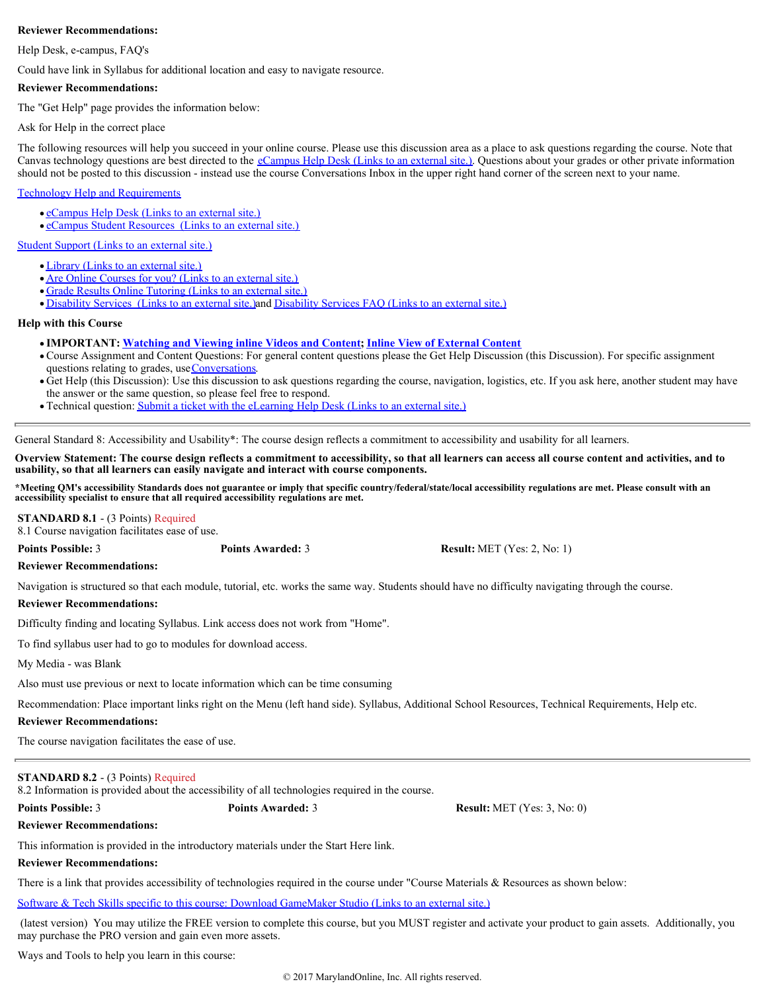Help Desk, e-campus, FAQ's

Could have link in Syllabus for additional location and easy to navigate resource.

# **Reviewer Recommendations:**

The "Get Help" page provides the information below:

Ask for Help in the correct place

The following resources will help you succeed in your online course. Please use this discussion area as a place to ask questions regarding the course. Note that Canvas technology questions are best directed to the *[eCampus Help Desk \(Links to an external site.\)](http://www.nctc.edu/eLearning_Department/Support.aspx)*. Questions about your grades or other private information should not be posted to this discussion - instead use the course Conversations Inbox in the upper right hand corner of the screen next to your name.

# [Technology Help and Requirements](https://nctc.instructure.com/courses/10763/pages/technology-help-and-requirements)

- [eCampus Help Desk \(Links to an external site.\)](http://www.nctc.edu/eLearning_Department/Support.aspx)
- [eCampus Student Resources \(Links to an external site.\)](http://www.nctc.edu/eLearning_Department/Student_Resources.aspx)

[Student Support \(Links to an external site.\)](http://www.nctc.edu/StudentServices.aspx)

- [Library \(Links to an external site.\)](http://www.nctc.edu/Library.aspx)
- [Are Online Courses for you? \(Links to an external site.\)](http://www.nctc.edu/eLearning_Department/SmarterMeasure.aspx)
- [Grade Results Online Tutoring \(Links to an external site.\)](http://www.nctc.edu/eLearning_Department/Grade_Results.aspx)

• [Disability Services \(Links to an external site.\)](http://www.nctc.edu/StudentServices/SupportServices/Disabilityservices.aspx)and [Disability Services FAQ \(Links to an external site.\)](http://www.nctc.edu/StudentServices/SupportServices/Disabilityservices/DisabilitiesStudentResources/DisabilitiesStudentsFAQ.aspx)

# **Help with this Course**

- **IMPORTANT: [Watching and Viewing inline Videos and Content](https://nctc.instructure.com/courses/10763/pages/watching-and-viewing-inline-videos-and-content); [Inline View of External Content](https://nctc.instructure.com/courses/10763/pages/important-inline-view-of-external-content)**
- Course Assignment and Content Questions: For general content questions please the Get Help Discussion (this Discussion). For specific assignment questions relating to grades, use [Conversations](https://nctc.instructure.com/conversations).
- Get Help (this Discussion): Use this discussion to ask questions regarding the course, navigation, logistics, etc. If you ask here, another student may have the answer or the same question, so please feel free to respond.
- Technical question: [Submit a ticket with the eLearning Help Desk \(Links to an external site.\)](http://www.nctc.edu/eLearning_Department/Support.aspx)

General Standard 8: Accessibility and Usability\*: The course design reflects a commitment to accessibility and usability for all learners.

**Overview Statement: The course design reflects a commitment to accessibility, so that all learners can access all course content and activities, and to usability, so that all learners can easily navigate and interact with course components.** 

**\*Meeting QM's accessibility Standards does not guarantee or imply that specific country/federal/state/local accessibility regulations are met. Please consult with an accessibility specialist to ensure that all required accessibility regulations are met.**

# **STANDARD 8.1** - (3 Points) Required

8.1 Course navigation facilitates ease of use.

**Points Possible:** 3 **Points Awarded:** 3 **Result:** MET (Yes: 2, No: 1)

# **Reviewer Recommendations:**

Navigation is structured so that each module, tutorial, etc. works the same way. Students should have no difficulty navigating through the course.

# **Reviewer Recommendations:**

Difficulty finding and locating Syllabus. Link access does not work from "Home".

To find syllabus user had to go to modules for download access.

My Media - was Blank

Also must use previous or next to locate information which can be time consuming

Recommendation: Place important links right on the Menu (left hand side). Syllabus, Additional School Resources, Technical Requirements, Help etc.

# **Reviewer Recommendations:**

The course navigation facilitates the ease of use.

# **STANDARD 8.2** - (3 Points) Required

8.2 Information is provided about the accessibility of all technologies required in the course.

**Points Possible:** 3 **Points Awarded:** 3 **Result:** MET (Yes: 3, No: 0)

**Reviewer Recommendations:**

This information is provided in the introductory materials under the Start Here link.

**Reviewer Recommendations:**

There is a link that provides accessibility of technologies required in the course under "Course Materials & Resources as shown below:

[Software & Tech Skills specific to this course: Download GameMaker Studio \(Links to an external site.\)](https://www.yoyogames.com/studio/download)

 (latest version) You may utilize the FREE version to complete this course, but you MUST register and activate your product to gain assets. Additionally, you may purchase the PRO version and gain even more assets.

Ways and Tools to help you learn in this course: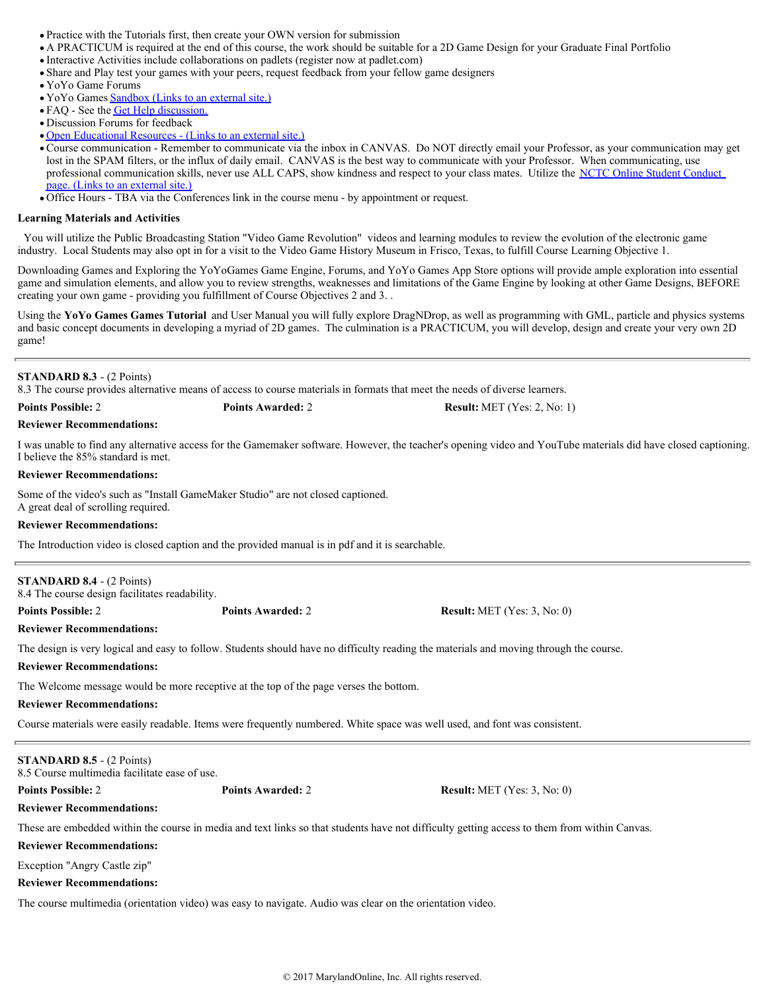- Practice with the Tutorials first, then create your OWN version for submission
- A PRACTICUM is required at the end of this course, the work should be suitable for a 2D Game Design for your Graduate Final Portfolio
- Interactive Activities include collaborations on padlets (register now at padlet.com)
- Share and Play test your games with your peers, request feedback from your fellow game designers
- YoYo Game Forums
- YoYo Games [Sandbox \(Links to an external site.\)](http://sandbox.yoyogames.com/make)
- FAQ See the [Get Help discussion.](https://nctc.instructure.com/courses/10763/discussion_topics/65833)
- Discussion Forums for feedback
- [Open Educational Resources \(Links to an external site.\)](http://www.pbs.org/kcts/videogamerevolution/history/)
- Course communication Remember to communicate via the inbox in CANVAS. Do NOT directly email your Professor, as your communication may get lost in the SPAM filters, or the influx of daily email. CANVAS is the best way to communicate with your Professor. When communicating, use professional communication skills, never use ALL CAPS, show kindness and respect to your class mates. Utilize the [NCTC Online Student Conduct](http://www.nctc.edu/eLearning_Department/Online_Student_Conduct.aspx) [page. \(Links to an external site.\)](http://www.nctc.edu/eLearning_Department/Online_Student_Conduct.aspx)
- Office Hours TBA via the Conferences link in the course menu by appointment or request.

#### **Learning Materials and Activities**

You will utilize the Public Broadcasting Station "Video Game Revolution" videos and learning modules to review the evolution of the electronic game industry. Local Students may also opt in for a visit to the Video Game History Museum in Frisco, Texas, to fulfill Course Learning Objective 1.

Downloading Games and Exploring the YoYoGames Game Engine, Forums, and YoYo Games App Store options will provide ample exploration into essential game and simulation elements, and allow you to review strengths, weaknesses and limitations of the Game Engine by looking at other Game Designs, BEFORE creating your own game - providing you fulfillment of Course Objectives 2 and 3. .

Using the **YoYo Games Games Tutorial** and User Manual you will fully explore DragNDrop, as well as programming with GML, particle and physics systems and basic concept documents in developing a myriad of 2D games. The culmination is a PRACTICUM, you will develop, design and create your very own 2D game!

# **STANDARD 8.3** - (2 Points)

8.3 The course provides alternative means of access to course materials in formats that meet the needs of diverse learners.

### **Reviewer Recommendations:**

I was unable to find any alternative access for the Gamemaker software. However, the teacher's opening video and YouTube materials did have closed captioning. I believe the 85% standard is met.

# **Reviewer Recommendations:**

Some of the video's such as "Install GameMaker Studio" are not closed captioned. A great deal of scrolling required.

#### **Reviewer Recommendations:**

The Introduction video is closed caption and the provided manual is in pdf and it is searchable.

| <b>STANDARD 8.4 - <math>(2 \text{ Points})</math></b><br>8.4 The course design facilitates readability. |                                                                                       |                                                                                                                                        |  |
|---------------------------------------------------------------------------------------------------------|---------------------------------------------------------------------------------------|----------------------------------------------------------------------------------------------------------------------------------------|--|
| <b>Points Possible: 2</b>                                                                               | <b>Points Awarded: 2</b>                                                              | <b>Result:</b> MET (Yes: $3$ , No: 0)                                                                                                  |  |
| <b>Reviewer Recommendations:</b>                                                                        |                                                                                       |                                                                                                                                        |  |
|                                                                                                         |                                                                                       | The design is very logical and easy to follow. Students should have no difficulty reading the materials and moving through the course. |  |
| <b>Reviewer Recommendations:</b>                                                                        |                                                                                       |                                                                                                                                        |  |
|                                                                                                         | The Welcome message would be more receptive at the top of the page verses the bottom. |                                                                                                                                        |  |

# **Reviewer Recommendations:**

Course materials were easily readable. Items were frequently numbered. White space was well used, and font was consistent.

| <b>STANDARD 8.5</b> - $(2 \text{ Points})$<br>8.5 Course multimedia facilitate ease of use. |                          |                                                                                                                                              |
|---------------------------------------------------------------------------------------------|--------------------------|----------------------------------------------------------------------------------------------------------------------------------------------|
| <b>Points Possible: 2</b>                                                                   | <b>Points Awarded: 2</b> | <b>Result:</b> MET $(Yes: 3, No: 0)$                                                                                                         |
| <b>Reviewer Recommendations:</b>                                                            |                          |                                                                                                                                              |
|                                                                                             |                          | These are embedded within the course in media and text links so that students have not difficulty getting access to them from within Canvas. |
| <b>Reviewer Recommendations:</b>                                                            |                          |                                                                                                                                              |
| Exception "Angry Castle zip"                                                                |                          |                                                                                                                                              |
| <b>Reviewer Recommendations:</b>                                                            |                          |                                                                                                                                              |

The course multimedia (orientation video) was easy to navigate. Audio was clear on the orientation video.

**Points Possible:** 2 **Points Awarded:** 2 **Result:** MET (Yes: 2, No: 1)